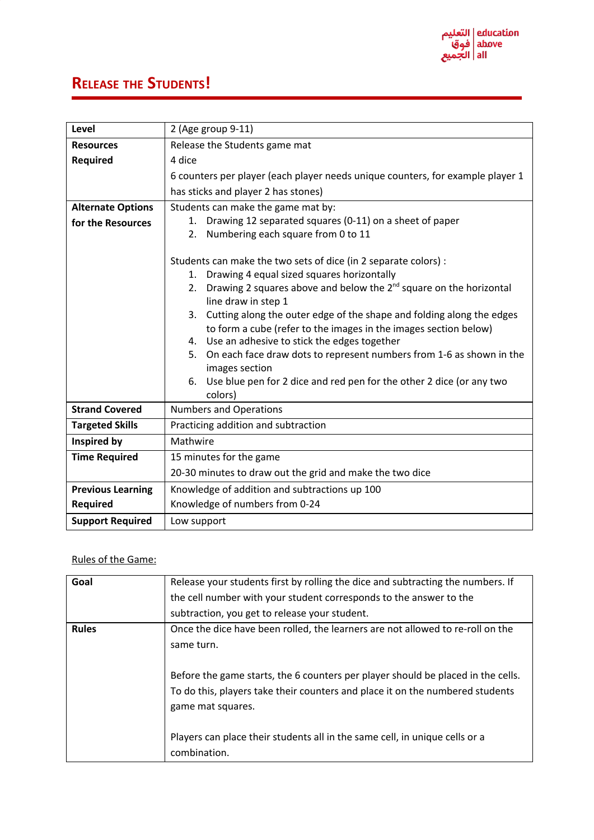## **RELEASE THE STUDENTS!**

| Level                    | 2 (Age group 9-11)                                                                                                                              |
|--------------------------|-------------------------------------------------------------------------------------------------------------------------------------------------|
| <b>Resources</b>         | Release the Students game mat                                                                                                                   |
| <b>Required</b>          | 4 dice                                                                                                                                          |
|                          | 6 counters per player (each player needs unique counters, for example player 1                                                                  |
|                          | has sticks and player 2 has stones)                                                                                                             |
| <b>Alternate Options</b> | Students can make the game mat by:                                                                                                              |
| for the Resources        | Drawing 12 separated squares (0-11) on a sheet of paper<br>1.                                                                                   |
|                          | Numbering each square from 0 to 11<br>2.                                                                                                        |
|                          |                                                                                                                                                 |
|                          | Students can make the two sets of dice (in 2 separate colors) :                                                                                 |
|                          | Drawing 4 equal sized squares horizontally<br>1.                                                                                                |
|                          | Drawing 2 squares above and below the $2^{nd}$ square on the horizontal<br>2.                                                                   |
|                          | line draw in step 1                                                                                                                             |
|                          | Cutting along the outer edge of the shape and folding along the edges<br>3.<br>to form a cube (refer to the images in the images section below) |
|                          | 4. Use an adhesive to stick the edges together                                                                                                  |
|                          | On each face draw dots to represent numbers from 1-6 as shown in the<br>5.                                                                      |
|                          | images section                                                                                                                                  |
|                          | Use blue pen for 2 dice and red pen for the other 2 dice (or any two<br>6.                                                                      |
|                          | colors)                                                                                                                                         |
| <b>Strand Covered</b>    | <b>Numbers and Operations</b>                                                                                                                   |
| <b>Targeted Skills</b>   | Practicing addition and subtraction                                                                                                             |
| Inspired by              | Mathwire                                                                                                                                        |
| <b>Time Required</b>     | 15 minutes for the game                                                                                                                         |
|                          | 20-30 minutes to draw out the grid and make the two dice                                                                                        |
| <b>Previous Learning</b> | Knowledge of addition and subtractions up 100                                                                                                   |
| Required                 | Knowledge of numbers from 0-24                                                                                                                  |
| <b>Support Required</b>  | Low support                                                                                                                                     |

## Rules of the Game:

| Goal         | Release your students first by rolling the dice and subtracting the numbers. If  |
|--------------|----------------------------------------------------------------------------------|
|              | the cell number with your student corresponds to the answer to the               |
|              | subtraction, you get to release your student.                                    |
| <b>Rules</b> | Once the dice have been rolled, the learners are not allowed to re-roll on the   |
|              | same turn.                                                                       |
|              |                                                                                  |
|              | Before the game starts, the 6 counters per player should be placed in the cells. |
|              | To do this, players take their counters and place it on the numbered students    |
|              | game mat squares.                                                                |
|              |                                                                                  |
|              | Players can place their students all in the same cell, in unique cells or a      |
|              | combination.                                                                     |